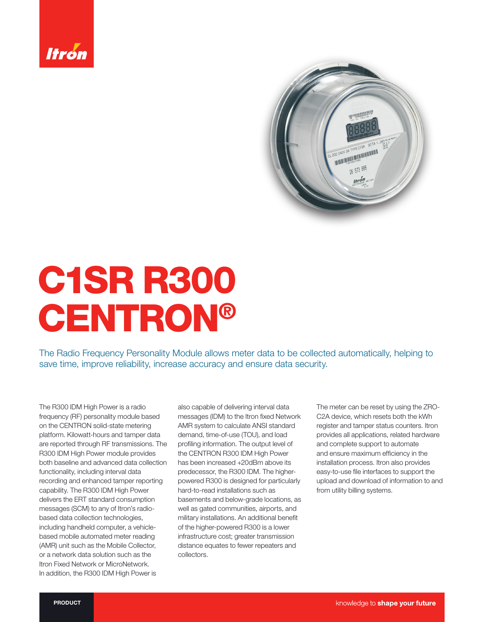



# C1SR R300 CENTRON®

The Radio Frequency Personality Module allows meter data to be collected automatically, helping to save time, improve reliability, increase accuracy and ensure data security.

The R300 IDM High Power is a radio frequency (RF) personality module based on the CENTRON solid-state metering platform. Kilowatt-hours and tamper data are reported through RF transmissions. The R300 IDM High Power module provides both baseline and advanced data collection functionality, including interval data recording and enhanced tamper reporting capability. The R300 IDM High Power delivers the ERT standard consumption messages (SCM) to any of Itron's radiobased data collection technologies, including handheld computer, a vehiclebased mobile automated meter reading (AMR) unit such as the Mobile Collector, or a network data solution such as the Itron Fixed Network or MicroNetwork. In addition, the R300 IDM High Power is

also capable of delivering interval data messages (IDM) to the Itron fixed Network AMR system to calculate ANSI standard demand, time-of-use (TOU), and load profiling information. The output level of the CENTRON R300 IDM High Power has been increased +20dBm above its predecessor, the R300 IDM. The higherpowered R300 is designed for particularly hard-to-read installations such as basements and below-grade locations, as well as gated communities, airports, and military installations. An additional benefit of the higher-powered R300 is a lower infrastructure cost; greater transmission distance equates to fewer repeaters and collectors.

The meter can be reset by using the ZRO-C2A device, which resets both the kWh register and tamper status counters. Itron provides all applications, related hardware and complete support to automate and ensure maximum efficiency in the installation process. Itron also provides easy-to-use file interfaces to support the upload and download of information to and from utility billing systems.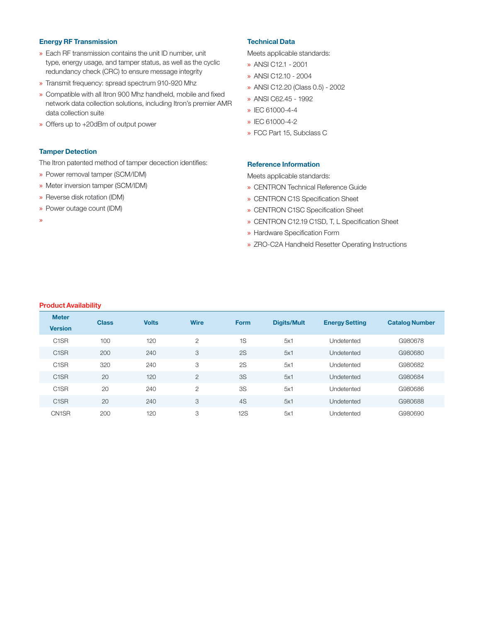### Energy RF Transmission

- » Each RF transmission contains the unit ID number, unit type, energy usage, and tamper status, as well as the cyclic redundancy check (CRC) to ensure message integrity
- » Transmit frequency: spread spectrum 910-920 Mhz
- » Compatible with all Itron 900 Mhz handheld, mobile and fixed network data collection solutions, including Itron's premier AMR data collection suite
- » Offers up to +20dBm of output power

#### Tamper Detection

The Itron patented method of tamper decection identifies:

- » Power removal tamper (SCM/IDM)
- » Meter inversion tamper (SCM/IDM)
- » Reverse disk rotation (IDM)
- » Power outage count (IDM)

»

#### Technical Data

Meets applicable standards:

- » ANSI C12.1 2001
- » ANSI C12.10 2004
- » ANSI C12.20 (Class 0.5) 2002
- » ANSI C62.45 1992
- » IEC 61000-4-4
- » IEC 61000-4-2
- » FCC Part 15, Subclass C

#### Reference Information

Meets applicable standards:

- » CENTRON Technical Reference Guide
- » CENTRON C1S Specification Sheet
- » CENTRON C1SC Specification Sheet
- » CENTRON C12.19 C1SD, T, L Specification Sheet
- » Hardware Specification Form
- » ZRO-C2A Handheld Resetter Operating Instructions

#### Product Availability

| <b>Meter</b><br><b>Version</b> | <b>Class</b> | <b>Volts</b> | <b>Wire</b>    | <b>Form</b> | <b>Digits/Mult</b> | <b>Energy Setting</b> | <b>Catalog Number</b> |
|--------------------------------|--------------|--------------|----------------|-------------|--------------------|-----------------------|-----------------------|
| C <sub>1</sub> SR              | 100          | 120          | $\overline{2}$ | 1S          | 5x1                | Undetented            | G980678               |
| C <sub>1</sub> SR              | 200          | 240          | 3              | 2S          | 5x1                | Undetented            | G980680               |
| C <sub>1</sub> SR              | 320          | 240          | 3              | 2S          | 5x1                | Undetented            | G980682               |
| C <sub>1</sub> SR              | 20           | 120          | $\overline{2}$ | <b>3S</b>   | 5x1                | Undetented            | G980684               |
| C <sub>1</sub> SR              | 20           | 240          | $\overline{2}$ | 3S          | 5x1                | Undetented            | G980686               |
| C <sub>1</sub> SR              | 20           | 240          | 3              | 4S          | 5x1                | Undetented            | G980688               |
| CN1SR                          | 200          | 120          | 3              | <b>12S</b>  | 5x1                | Undetented            | G980690               |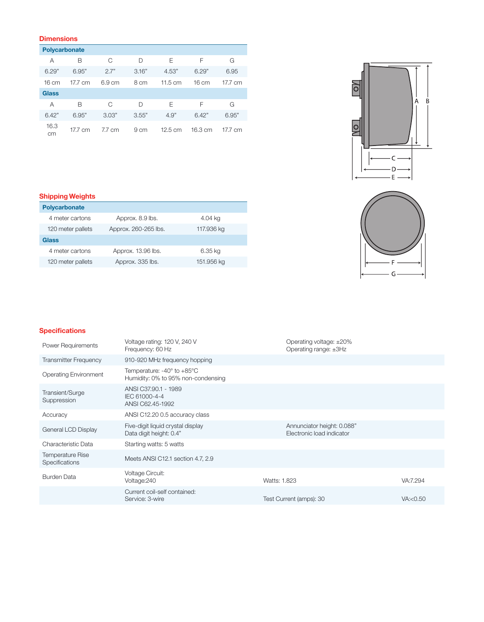# **Dimensions**

|                 | <b>Polycarbonate</b> |                  |       |                   |                   |         |
|-----------------|----------------------|------------------|-------|-------------------|-------------------|---------|
| Α               | B                    | C                | D     | Е                 | F                 | G       |
| 6.29"           | 6.95"                | 2.7"             | 3.16" | 4.53"             | 6.29"             | 6.95    |
| $16 \text{ cm}$ | 17.7 cm              | $6.9 \text{ cm}$ | 8 cm  | $11.5 \text{ cm}$ | $16 \text{ cm}$   | 17.7 cm |
| <b>Glass</b>    |                      |                  |       |                   |                   |         |
| Α               | В                    | C                | D     | E                 | F                 | G       |
| 6.42"           | 6.95"                | 3.03"            | 3.55" | 4.9"              | 6.42"             | 6.95"   |
| 16.3<br>cm      | 17.7 cm              | 7.7 cm           | 9 cm  | $12.5 \text{ cm}$ | $16.3 \text{ cm}$ | 17.7 cm |



# Shipping Weights

| <b>Polycarbonate</b> |                      |            |  |  |  |
|----------------------|----------------------|------------|--|--|--|
| 4 meter cartons      | Approx. 8.9 lbs.     | 4.04 kg    |  |  |  |
| 120 meter pallets    | Approx. 260-265 lbs. | 117.936 kg |  |  |  |
| Glass                |                      |            |  |  |  |
| 4 meter cartons      | Approx. 13.96 lbs.   | 6.35 kg    |  |  |  |
| 120 meter pallets    | Approx. 335 lbs.     | 151.956 kg |  |  |  |



# **Specifications**

| <b>Power Requirements</b>                 | Voltage rating: 120 V, 240 V<br>Frequency: 60 Hz                                | Operating voltage: ±20%<br>Operating range: ±3Hz        |            |
|-------------------------------------------|---------------------------------------------------------------------------------|---------------------------------------------------------|------------|
| <b>Transmitter Frequency</b>              | 910-920 MHz frequency hopping                                                   |                                                         |            |
| <b>Operating Environment</b>              | Temperature: $-40^\circ$ to $+85^\circ$ C<br>Humidity: 0% to 95% non-condensing |                                                         |            |
| Transient/Surge<br>Suppression            | ANSI C37.90.1 - 1989<br>IEC 61000-4-4<br>ANSI C62.45-1992                       |                                                         |            |
| Accuracy                                  | ANSI C12.20 0.5 accuracy class                                                  |                                                         |            |
| General LCD Display                       | Five-digit liquid crystal display<br>Data digit height: 0.4"                    | Annunciator height: 0.088"<br>Electronic load indicator |            |
| Characteristic Data                       | Starting watts: 5 watts                                                         |                                                         |            |
| <b>Temperature Rise</b><br>Specifications | Meets ANSI C12.1 section 4.7, 2.9                                               |                                                         |            |
| <b>Burden Data</b>                        | <b>Voltage Circuit:</b><br>Voltage: 240                                         | Watts: 1.823                                            | VA:7.294   |
|                                           | Current coil-self contained:<br>Service: 3-wire                                 | Test Current (amps): 30                                 | VA: < 0.50 |